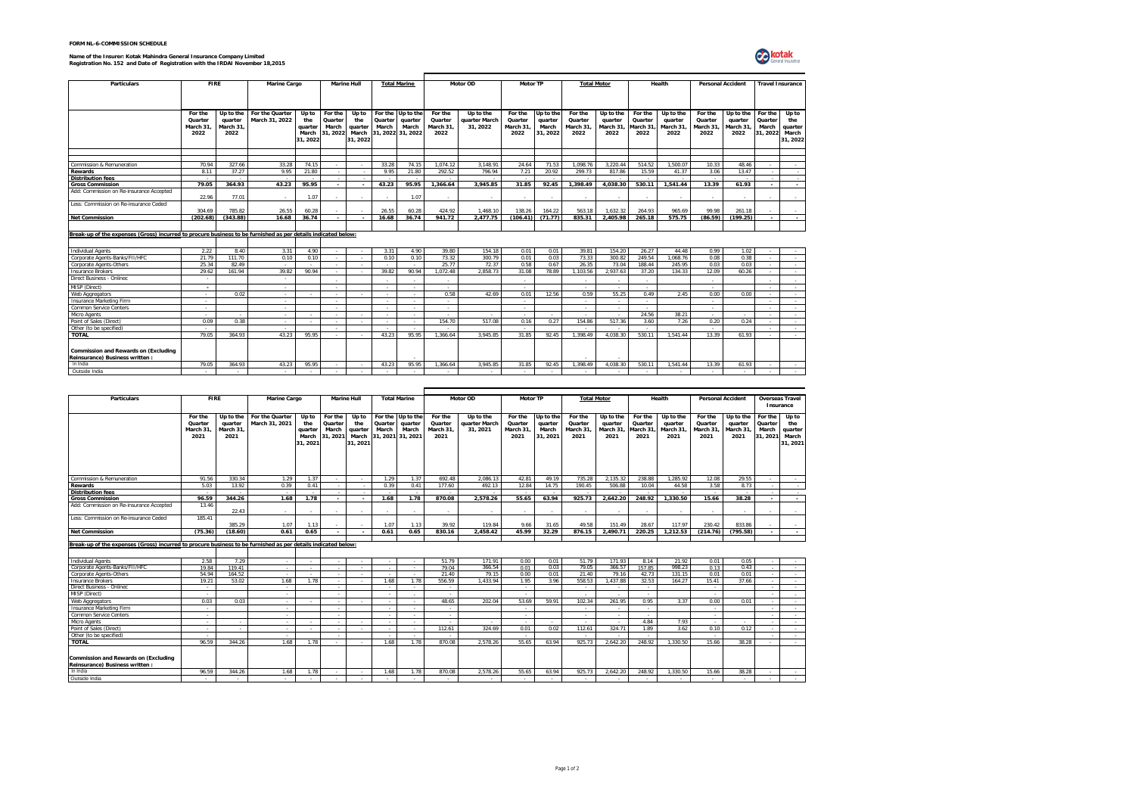|  |  | FORM NL-6-COMMISSION SCHEDULE |
|--|--|-------------------------------|
|  |  |                               |

## **Name of the Insurer: Kotak Mahindra General Insurance Company Limited Registration No. 152 and Date of Registration with the IRDAI November 18,2015**



| <b>Particulars</b>                                                                                            | <b>FIRE</b> |                          | Marine Cargo    |          |                          | <b>Marine Hull</b> |         | <b>Total Marine</b> |          | Motor OD      | Motor TP |           |          | <b>Total Motor</b> | Health               |           | <b>Personal Accident</b> |           | <b>Travel Insurance</b>  |          |
|---------------------------------------------------------------------------------------------------------------|-------------|--------------------------|-----------------|----------|--------------------------|--------------------|---------|---------------------|----------|---------------|----------|-----------|----------|--------------------|----------------------|-----------|--------------------------|-----------|--------------------------|----------|
|                                                                                                               |             |                          |                 |          |                          |                    |         |                     |          |               |          |           |          |                    |                      |           |                          |           |                          |          |
|                                                                                                               |             |                          |                 |          |                          |                    |         |                     |          |               |          |           |          |                    |                      |           |                          |           |                          |          |
|                                                                                                               |             |                          |                 |          |                          |                    |         |                     |          |               |          |           |          |                    |                      |           |                          |           |                          |          |
|                                                                                                               | For the     | Up to the                | For the Quarter | Up to    | For the                  | Up to              | For the | Up to the           | For the  | Up to the     | For the  | Up to the | For the  | Up to the          | For the<br>Up to the |           | For the                  | Up to the | For the                  | Up to    |
|                                                                                                               | Quarter     | quarter                  | March 31, 2022  | the      | Quarter                  | the                | Quarter | quarter             | Quarter  | quarter March | Quarter  | quarter   | Quarter  | quarter            | Quarter              | quarter   | Quarter                  | quarter   | Quarter                  | the      |
|                                                                                                               | March 31    | March 31                 |                 | quarter  | March                    | quarter            | March   | March               | March 31 | 31, 2022      | March 31 | March     | March 31 | March 31,          | March 31             | March 31. | March 31.                | March 31  | March                    | quarter  |
|                                                                                                               | 2022        | 2022                     |                 | March    | 31.2022                  | March              |         | 31.2022 31.2022     | 2022     |               | 2022     | 31, 2022  | 2022     | 2022               | 2022                 | 2022      | 2022                     | 2022      | 31.2022                  | March    |
|                                                                                                               |             |                          |                 | 31, 2022 |                          | 31.2022            |         |                     |          |               |          |           |          |                    |                      |           |                          |           |                          | 31, 2022 |
|                                                                                                               |             |                          |                 |          |                          |                    |         |                     |          |               |          |           |          |                    |                      |           |                          |           |                          |          |
|                                                                                                               |             |                          |                 |          |                          |                    |         |                     |          |               |          |           |          |                    |                      |           |                          |           |                          |          |
|                                                                                                               |             |                          |                 |          |                          |                    |         |                     |          |               |          |           |          |                    |                      |           |                          |           |                          |          |
| Commission & Remuneration                                                                                     | 70.94       | 327.66                   | 33.28           | 74.15    | $\sim$                   |                    | 33.28   | 74.15               | 1.074.12 | 3.148.91      | 24.64    | 71.53     | 1.098.76 | 3.220.44           | 514.52               | 1.500.07  | 10.33                    | 48.46     | $\sim$                   | $\sim$   |
| Rewards                                                                                                       | 8 1 1       | 37 27                    | 9 95            | 21.80    | - 2                      |                    | 9 95    | 21.80               | 292.52   | 796.94        | 7.21     | 20.92     | 299.73   | 817.86             | 15.59                | 41 37     | 3.06                     | 13 47     | $\sim$                   |          |
| <b>Distribution fees</b><br><b>Gross Commission</b>                                                           | 79.05       | 364.93                   | 43.23           | 95.95    |                          |                    | 43.23   | 95.95               | 1.366.64 | 3.945.85      | 31.85    | 92.45     | 1.398.49 | 4.038.30           | 530.11               | 1.541.44  | 13.39                    | 61.93     | $\sim$                   |          |
| Add: Commission on Re-insurance Accepted                                                                      |             |                          |                 |          | $\overline{\phantom{a}}$ |                    |         |                     |          |               |          |           |          |                    |                      |           |                          |           | $\overline{\phantom{a}}$ | $\sim$   |
|                                                                                                               | 22.96       | 77.01                    |                 | 1.07     |                          |                    |         | 1.07                | $\sim$   | ÷.            | ۰.       |           | ۰.       | $\sim$             |                      |           |                          | . .       |                          |          |
| Less: Commission on Re-insurance Ceded                                                                        |             |                          |                 |          |                          |                    |         |                     |          |               |          |           |          |                    |                      |           |                          |           |                          |          |
|                                                                                                               | 304 69      | 785.82                   | 26.55           | 60.28    |                          |                    | 26.55   | 60.28               | 424.92   | 1.468.10      | 138.26   | 164.22    | 563.18   | 1.632.32           | 264.93               | 965.69    | 99 98                    | 261.18    |                          |          |
| <b>Net Commission</b>                                                                                         | (202.68)    | (343.88)                 | 16.68           | 36.74    | $\sim$                   |                    | 16.68   | 36.74               | 941.72   | 2.477.75      | (106.41) | (71.77)   | 835.31   | 2.405.98           | 265.18               | 575.75    | (86.59)                  | (199.25)  | $\sim$                   | $\sim$   |
|                                                                                                               |             |                          |                 |          |                          |                    |         |                     |          |               |          |           |          |                    |                      |           |                          |           |                          |          |
|                                                                                                               |             |                          |                 |          |                          |                    |         |                     |          |               |          |           |          |                    |                      |           |                          |           |                          |          |
| Break-up of the expenses (Gross) incurred to procure business to be furnished as per details indicated below: |             |                          |                 |          |                          |                    |         |                     |          |               |          |           |          |                    |                      |           |                          |           |                          |          |
|                                                                                                               |             |                          |                 |          |                          |                    |         |                     |          |               |          |           |          |                    |                      |           |                          |           |                          |          |
| <b>Individual Agents</b>                                                                                      | 2.22        | 8.40                     | 3.31            | 4.90     | $\sim$                   | $\sim$             | 3.31    | 4.90                | 39.80    | 154.18        | 0.01     | 0.01      | 39.81    | 154.20             | 26.27                | 44.48     | 0.99                     | 1.02      | . п.                     |          |
| Corporate Agents-Banks/FII/HFC                                                                                | 21.79       | 111.70                   | 0.10            | 0.10     | $\sim$                   | . п.               | 0.10    | 0.10                | 73.32    | 300.79        | 0.01     | 0.03      | 73.33    | 300.82             | 249.54               | 1.068.76  | 0.08                     | 0.38      | $\sim$                   | $\sim$   |
| Corporate Agents-Others                                                                                       | 25.34       | 82.49                    |                 |          | $\sim$                   |                    |         |                     | 25.77    | 72.37         | 0.58     | 0.67      | 26.35    | 73.04              | 188.44               | 245.95    | 0.03                     | 0.03      |                          | $\sim$   |
| Insurance Brokers                                                                                             | 29.62       | 161.94                   | 39.82           | 90.94    | $\sim$                   | ۰.                 | 39.82   | 90.94               | 1.072.48 | 2.858.73      | 31.08    | 78.89     | 1.103.56 | 2.937.63           | 37.20                | 134.33    | 12.09                    | 60.26     | $\sim$                   | $\sim$   |
| Direct Business - Onlinec                                                                                     | $\sim$      |                          | $\sim$          |          | $\sim$                   |                    | .       | $\sim$              | . п.     |               | $\sim$   |           | - 1      | $\sim$             | - 11                 |           | $\sim$                   |           |                          |          |
| MISP (Direct)                                                                                                 | $\sim$      |                          | $\sim$          |          | $\sim$                   |                    | .       | $\sim$              | $\sim$   |               | $\sim$   |           | - 1      | $\sim$             | - 11                 |           | a.                       |           | . п.                     | - 2      |
| Web Aggregators                                                                                               | $\sim$      | 0.02                     | $\sim$          |          |                          |                    | $\sim$  | $\sim$              | 0.58     | 42.69         | 0.01     | 12.56     | 0.59     | 55.25              | 0.49                 | 2.45      | 0.00                     | 0.00      |                          | $\sim$   |
| Insurance Marketing Firm                                                                                      | $\sim$      |                          | $\sim$          |          | $\sim$                   |                    | $\sim$  | $\sim$              | . п.     |               | $\sim$   |           | $\sim$   | $\sim$             | .                    |           | $\sim$                   |           | $\sim$                   | $\sim$   |
| Common Service Centers                                                                                        | $\sim$      |                          | $\sim$          |          | $\sim$                   |                    | $\sim$  | $\sim$              | $\sim$   |               | $\sim$   |           | $\sim$   | $\sim$             | $\sim$               |           | $\sim$                   |           | $\sim$                   | $\sim$   |
| Micro Agents                                                                                                  | $\sim$      |                          | $\sim$          |          | $\sim$                   |                    | .       | $\sim$              | $\sim$   | $\sim$        | $\sim$   |           | $\sim$   | $\sim$             | 24.56                | 38.21     | $\sim$                   | $\sim$    | $\sim$                   | 14       |
| Point of Sales (Direct)                                                                                       | 0.09        | 0.38                     | $\sim$          |          | $\sim$                   |                    | $\sim$  | $\sim$              | 154.70   | 517.08        | 0.16     | 0.27      | 154.86   | 517.36             | 3.60                 | 7.26      | 0.20                     | 0.24      | - 11                     | $\sim$   |
| Other (to be specified)                                                                                       | $\sim$      |                          | $\sim$          |          | $\sim$                   |                    | $\sim$  | $\sim$              | $\sim$   |               | $\sim$   |           | $\sim$   |                    | - 2                  |           | $\sim$                   |           | - 11                     | $\sim$   |
| <b>TOTAL</b>                                                                                                  | 79.05       | 364 93                   | 43 23           | 95.95    |                          |                    | 43.23   | 95 95               | 1.366.64 | 3.945.85      | 31.85    | 92.45     | 1.398.49 | 4.038.30           | 530.11               | 1.541.44  | 13.39                    | 61.93     |                          |          |
|                                                                                                               |             |                          |                 |          |                          |                    |         |                     |          |               |          |           |          |                    |                      |           |                          |           |                          |          |
|                                                                                                               |             |                          |                 |          |                          |                    |         |                     |          |               |          |           |          |                    |                      |           |                          |           |                          |          |
| <b>Commission and Rewards on (Excluding</b>                                                                   |             |                          |                 |          |                          |                    |         |                     |          |               |          |           |          |                    |                      |           |                          |           |                          |          |
| Reinsurance) Business written:                                                                                |             |                          |                 |          |                          |                    |         |                     |          |               |          |           |          |                    |                      |           |                          |           |                          |          |
| In India                                                                                                      | 79.05       | 364.93                   | 43.23           | 95.95    | $\sim$                   | $\sim$             | 43.23   | 95.95               | 1.366.64 | 3.945.85      | 31.85    | 92.45     | 1.398.49 | 4.038.30           | 530.11               | 1.541.44  | 13.39                    | 61.93     | $\sim$                   | $\sim$   |
| Outside India                                                                                                 | $\sim$      | $\overline{\phantom{a}}$ | $\sim$          |          | $\sim$                   |                    |         | $\sim$              | $\sim$   | $\sim$        | $\sim$   | $\sim$    | $\sim$   |                    |                      |           | $\sim$                   |           | $\sim$                   | $\sim$   |

| Particulars                                                            | <b>FIRE</b>                            |                                          | <b>Marine Cargo</b>               |                                              |                                       | <b>Marine Hull</b>                           |                  | <b>Total Marine</b>                                        |                                        | Motor OD                               | <b>Motor TP</b>                        |                                           |                                        | <b>Total Motor</b>                       |                                        | Health                                    |                                        | <b>Personal Accident</b>                 |                                         | <b>Overseas Travel</b><br>Insurance          |
|------------------------------------------------------------------------|----------------------------------------|------------------------------------------|-----------------------------------|----------------------------------------------|---------------------------------------|----------------------------------------------|------------------|------------------------------------------------------------|----------------------------------------|----------------------------------------|----------------------------------------|-------------------------------------------|----------------------------------------|------------------------------------------|----------------------------------------|-------------------------------------------|----------------------------------------|------------------------------------------|-----------------------------------------|----------------------------------------------|
|                                                                        | For the<br>Quarter<br>March 31<br>2021 | Up to the<br>quarter<br>March 31<br>2021 | For the Quarter<br>March 31, 2021 | Up to<br>the<br>quarter<br>March<br>31, 2021 | For the<br>Quarter<br>March<br>31.202 | Up to<br>the<br>quarter<br>March<br>31, 2021 | Quarter<br>March | For the Up to the<br>quarter<br>March<br>31, 2021 31, 2021 | For the<br>Quarter<br>March 31<br>2021 | Up to the<br>quarter March<br>31, 2021 | For the<br>Quarter<br>March 31<br>2021 | Up to the<br>quarter<br>March<br>31, 2021 | For the<br>Quarter<br>March 31<br>2021 | Up to the<br>quarter<br>March 31<br>2021 | For the<br>Quarter<br>March 31<br>2021 | Up to the<br>quarter<br>March 31.<br>2021 | For the<br>Quarter<br>March 31<br>2021 | Up to the<br>quarter<br>March 31<br>2021 | For the<br>Quarter<br>March<br>31, 2021 | Up to<br>the<br>quarter<br>March<br>31, 2021 |
| Commission & Remuneration                                              | 91.56                                  | 330.34                                   | 1.29                              | 1.37                                         | $\sim$                                | $\sim$                                       | 1.29             | 1.37                                                       | 692.48                                 | 2.086.13                               | 42.81                                  | 49.19                                     | 735.28                                 | 2.135.32                                 | 238.88                                 | 1.285.92                                  | 12.08                                  | 29.55                                    | $\sim$                                  | $\sim 100$                                   |
| Rewards                                                                | 5.03                                   | 13.92                                    | 0.39                              | 0.41                                         | $\sim$                                | $\sim$                                       | 0.39             | 0.41                                                       | 177.60                                 | 492.13                                 | 12.84                                  | 14.75                                     | 190.45                                 | 506.88                                   | 10.04                                  | 44.58                                     | 3.58                                   | 8.73                                     | $\sim$                                  | $\sim$                                       |
| <b>Distribution fees</b>                                               | 14                                     | ٠.                                       | - 1                               |                                              | .                                     | $\sim$                                       |                  | - 2                                                        | ÷.                                     | $\sim$                                 | $\sim$                                 | $\sim$                                    | .                                      |                                          |                                        | $\sim$                                    | - 1                                    | - 2                                      | $\sim$                                  | $\sim$                                       |
| <b>Gross Commission</b>                                                | 96.59                                  | 344.26                                   | 1.68                              | 1.78                                         | $\sim$                                | $\overline{\phantom{a}}$                     | 1.68             | 1.78                                                       | 870.08                                 | 2.578.26                               | 55.65                                  | 63.94                                     | 925.73                                 | 2.642.20                                 | 248.92                                 | 1.330.50                                  | 15.66                                  | 38.28                                    | $\sim$                                  | $\sim$                                       |
| Add: Commission on Re-insurance Accepted                               | 13.46                                  | 22.43                                    | $\sim$                            |                                              | $\sim$                                | ۰.                                           |                  | $\sim$                                                     | $\sim$                                 |                                        | $\sim$                                 | $\sim$                                    | $\overline{\phantom{a}}$               | $\sim$                                   | $\sim$                                 | .                                         | $\sim$                                 |                                          |                                         | .                                            |
| Less: Commission on Re-insurance Ceded                                 | 185.41                                 | 385.29                                   | 1.07                              | 1.13                                         |                                       |                                              | 1.07             | 1.13                                                       | 39.92                                  | 119.84                                 | 9.66                                   | 31.65                                     | 49.58                                  | 151.49                                   | 28.67                                  | 117.97                                    | 230.42                                 | 833.86                                   |                                         |                                              |
| <b>Net Commission</b>                                                  | (75.36)                                | (18.60)                                  | 0.61                              | 0.65                                         | $\sim$                                | $\sim$                                       | 0.61             | 0.65                                                       | 830.16                                 | 2,458.42                               | 45.99                                  | 32.29                                     | 876.15                                 | 2.490.71                                 | 220.25                                 | 1.212.53                                  | (214.76)                               | (795.58)                                 | $\sim$                                  | $\sim$                                       |
| <b>Individual Agents</b>                                               | 2.58                                   | 7.29                                     | $\sim$                            | $\sim$                                       | $\sim$                                | $\sim$                                       | - 2              | $\sim$                                                     | 51.79                                  | 171.91                                 | 0.00                                   | 0.01                                      | 51.79                                  | 171.93                                   | 8.14                                   | 21.92                                     | 0.01                                   | 0.05                                     | $\sim$                                  | - 40                                         |
| Corporate Agents-Banks/FII/HFC                                         | 1984                                   | 119 41                                   | $\sim$                            |                                              |                                       | $\sim$                                       |                  | $\sim$                                                     | 79.04                                  | 366.54                                 | 0.01                                   | 0.03                                      | 79.05                                  | 366.57                                   | 157.85                                 | 998.23                                    | 0.13                                   | 0.43                                     | $\sim$                                  | $\sim$                                       |
| Corporate Agents-Others                                                | 54 94                                  | 164.52                                   | ۰.                                |                                              |                                       | $\sim$                                       |                  | $\sim$                                                     | 21 40                                  | 79.15                                  | 0.00                                   | 0.01                                      | 21.40                                  | 79.16                                    | 4273                                   | 131.15                                    | 0.01                                   | 0.01                                     | $\sim$                                  | $\sim$                                       |
| <b>Insurance Brokers</b>                                               | 19.21                                  | 53.02                                    | 1.68                              | 1.78                                         | $\sim$                                | $\sim$                                       | 1.68             | 1.78                                                       | 556.59                                 | 1.433.94                               | 1.95                                   | 3.96                                      | 558.53                                 | 1.437.88                                 | 32.53                                  | 164.27                                    | 15.41                                  | 37.66                                    | $\sim$                                  | $\sim$ $\sim$                                |
| Direct Business - Onlinec                                              | $\sim$                                 |                                          | $\sim$                            |                                              | - 2                                   |                                              |                  | $\sim$                                                     | и.                                     |                                        | $\sim$                                 |                                           | $\sim$                                 | $\sim$                                   |                                        |                                           | - 1                                    |                                          | $\sim$                                  | $\sim$                                       |
| MISP (Direct)                                                          | $\sim$                                 |                                          | $\sim$                            |                                              | .                                     |                                              |                  | $\sim$                                                     | a.                                     |                                        | $\sim$                                 |                                           | $\sim$                                 | - 1                                      | $\sim$                                 |                                           | .                                      |                                          | $\sim$                                  | .                                            |
| Web Aggregators                                                        | 0.03                                   | 0.03                                     | . п.                              |                                              | - 1                                   |                                              | . .              | $\sim$                                                     | 48.65                                  | 202.04                                 | 53.69                                  | 59.91                                     | 102.34                                 | 261.95                                   | 0.95                                   | 3.37                                      | 0.00                                   | 0.01                                     | $\sim$                                  | $\sim$                                       |
| Insurance Marketing Firm                                               | 14                                     |                                          | $\sim$                            |                                              | и.                                    |                                              |                  | $\sim$                                                     |                                        |                                        | $\sim$                                 |                                           | $\sim$                                 | $\sim$                                   |                                        |                                           |                                        |                                          | $\sim$                                  | .                                            |
| Common Service Centers                                                 | - 2                                    |                                          | - 1                               |                                              | - 2                                   |                                              |                  | $\sim$                                                     |                                        |                                        | - 2                                    |                                           | - 1                                    | $\sim$                                   |                                        |                                           | - 1                                    |                                          | $\sim$                                  | $\sim$                                       |
| Micro Agents                                                           | $\sim$                                 |                                          | $\sim$                            |                                              |                                       | $\sim$                                       |                  | $\sim$                                                     |                                        | $\sim$                                 | $\sim$                                 | $\sim$                                    | $\sim$                                 | $\sim$                                   | 484                                    | 7.93                                      | - 2                                    | $\sim$                                   | $\sim$                                  | $\sim$                                       |
| Point of Sales (Direct)                                                | 14                                     | $\overline{\phantom{a}}$                 | $\sim$                            | $\sim$                                       | - 1                                   | $\sim$                                       | $\sim$           | $\sim$                                                     | 112.61                                 | 324.69                                 | 0.01                                   | 0.02                                      | 112.61                                 | 324.71                                   | 1.89                                   | 3.62                                      | 0.10                                   | 0.12                                     | $\sim$                                  | $\sim$                                       |
| Other (to be specified)                                                | .                                      |                                          | ۰.                                |                                              |                                       |                                              |                  | $\sim$                                                     |                                        |                                        | - 1                                    |                                           | $\sim$                                 |                                          |                                        |                                           |                                        |                                          | $\sim$                                  | - 1                                          |
| <b>TOTAL</b>                                                           | 96.59                                  | 344.26                                   | 1.68                              | 1.78                                         | $\sim$                                |                                              | 1.68             | 1.78                                                       | 870.08                                 | 2,578.26                               | 55.65                                  | 63.94                                     | 925.73                                 | 2,642.20                                 | 248.92                                 | 1.330.50                                  | 15.66                                  | 38.28                                    |                                         |                                              |
| Commission and Rewards on (Excluding<br>Reinsurance) Business written: |                                        |                                          |                                   |                                              |                                       |                                              |                  |                                                            |                                        |                                        |                                        |                                           |                                        |                                          |                                        |                                           |                                        |                                          |                                         |                                              |
| In India                                                               | 96.59                                  | 344.26                                   | 1.68                              | 1.78                                         | $\sim$                                | $\sim$                                       | 1.68             | 1.78                                                       | 870.08                                 | 2.578.26                               | 55.65                                  | 63.94                                     | 925.73                                 | 2.642.20                                 | 248.92                                 | 1.330.50                                  | 15.66                                  | 38.28                                    | . п.                                    | $\sim$                                       |
| Outside India                                                          | $\sim$                                 | $\overline{\phantom{a}}$                 | $\sim$                            |                                              | $\sim$                                | . п.                                         | .                |                                                            | $\sim$                                 | $\sim$                                 | $\sim$                                 | $\sim$                                    | . п.                                   |                                          |                                        | . п.                                      | <b>A</b>                               |                                          | $\sim$                                  |                                              |